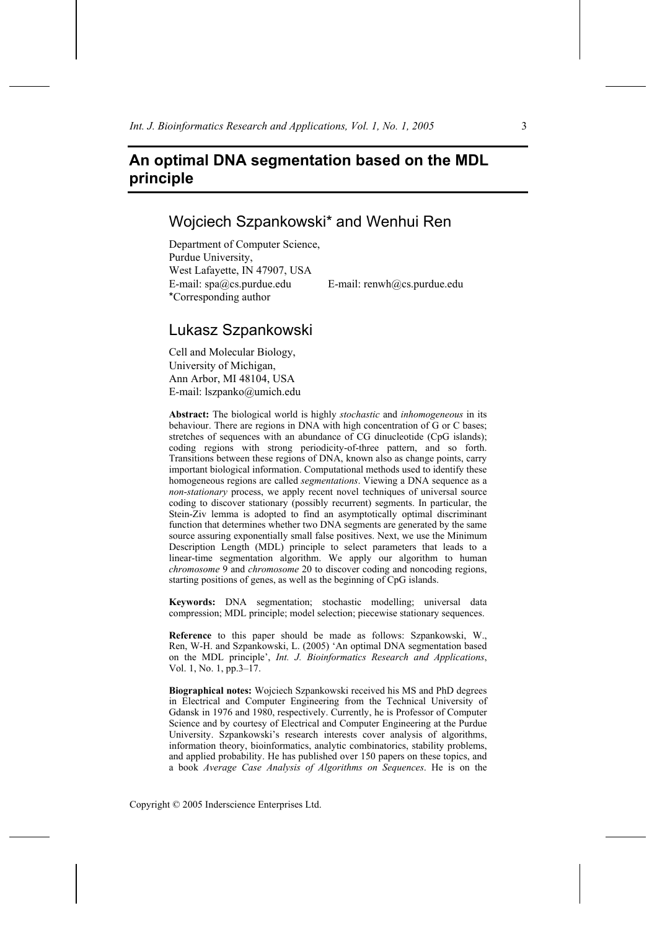# **An optimal DNA segmentation based on the MDL principle**

## Wojciech Szpankowski\* and Wenhui Ren

Department of Computer Science, Purdue University, West Lafayette, IN 47907, USA E-mail: spa@cs.purdue.edu E-mail: renwh@cs.purdue.edu \*Corresponding author

## Lukasz Szpankowski

Cell and Molecular Biology, University of Michigan, Ann Arbor, MI 48104, USA E-mail: lszpanko@umich.edu

**Abstract:** The biological world is highly *stochastic* and *inhomogeneous* in its behaviour. There are regions in DNA with high concentration of G or C bases; stretches of sequences with an abundance of CG dinucleotide (CpG islands); coding regions with strong periodicity-of-three pattern, and so forth. Transitions between these regions of DNA, known also as change points, carry important biological information. Computational methods used to identify these homogeneous regions are called *segmentations*. Viewing a DNA sequence as a *non-stationary* process, we apply recent novel techniques of universal source coding to discover stationary (possibly recurrent) segments. In particular, the Stein-Ziv lemma is adopted to find an asymptotically optimal discriminant function that determines whether two DNA segments are generated by the same source assuring exponentially small false positives. Next, we use the Minimum Description Length (MDL) principle to select parameters that leads to a linear-time segmentation algorithm. We apply our algorithm to human *chromosome* 9 and *chromosome* 20 to discover coding and noncoding regions, starting positions of genes, as well as the beginning of CpG islands.

**Keywords:** DNA segmentation; stochastic modelling; universal data compression; MDL principle; model selection; piecewise stationary sequences.

**Reference** to this paper should be made as follows: Szpankowski, W., Ren, W-H. and Szpankowski, L. (2005) 'An optimal DNA segmentation based on the MDL principle', *Int. J. Bioinformatics Research and Applications*, Vol. 1, No. 1, pp.3–17.

**Biographical notes:** Wojciech Szpankowski received his MS and PhD degrees in Electrical and Computer Engineering from the Technical University of Gdansk in 1976 and 1980, respectively. Currently, he is Professor of Computer Science and by courtesy of Electrical and Computer Engineering at the Purdue University. Szpankowski's research interests cover analysis of algorithms, information theory, bioinformatics, analytic combinatorics, stability problems, and applied probability. He has published over 150 papers on these topics, and a book *Average Case Analysis of Algorithms on Sequences*. He is on the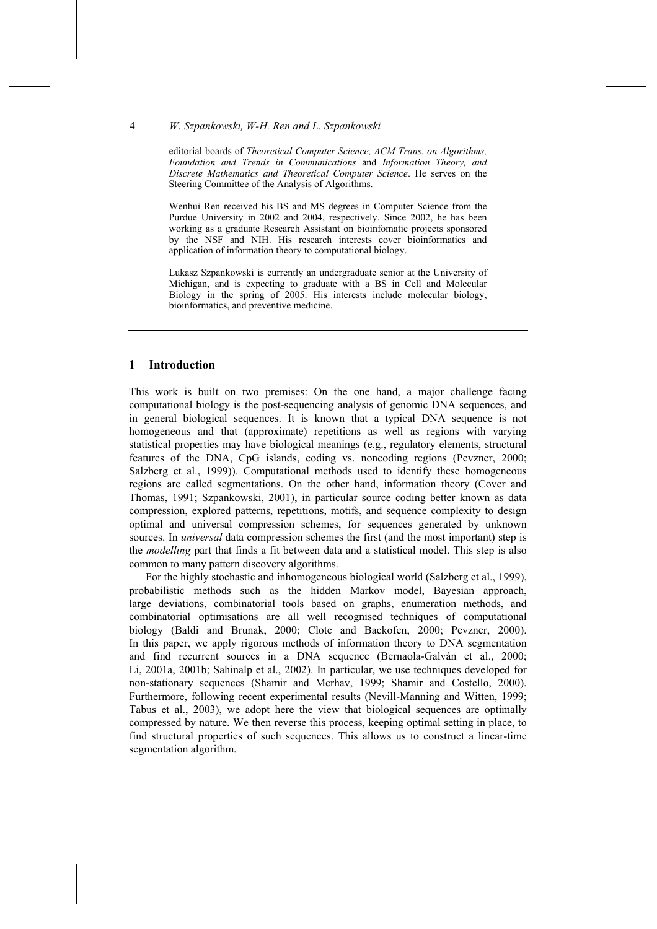editorial boards of *Theoretical Computer Science, ACM Trans. on Algorithms, Foundation and Trends in Communications* and *Information Theory, and Discrete Mathematics and Theoretical Computer Science*. He serves on the Steering Committee of the Analysis of Algorithms.

Wenhui Ren received his BS and MS degrees in Computer Science from the Purdue University in 2002 and 2004, respectively. Since 2002, he has been working as a graduate Research Assistant on bioinfomatic projects sponsored by the NSF and NIH. His research interests cover bioinformatics and application of information theory to computational biology.

Lukasz Szpankowski is currently an undergraduate senior at the University of Michigan, and is expecting to graduate with a BS in Cell and Molecular Biology in the spring of 2005. His interests include molecular biology, bioinformatics, and preventive medicine.

## **1 Introduction**

This work is built on two premises: On the one hand, a major challenge facing computational biology is the post-sequencing analysis of genomic DNA sequences, and in general biological sequences. It is known that a typical DNA sequence is not homogeneous and that (approximate) repetitions as well as regions with varying statistical properties may have biological meanings (e.g., regulatory elements, structural features of the DNA, CpG islands, coding vs. noncoding regions (Pevzner, 2000; Salzberg et al., 1999)). Computational methods used to identify these homogeneous regions are called segmentations. On the other hand, information theory (Cover and Thomas, 1991; Szpankowski, 2001), in particular source coding better known as data compression, explored patterns, repetitions, motifs, and sequence complexity to design optimal and universal compression schemes, for sequences generated by unknown sources. In *universal* data compression schemes the first (and the most important) step is the *modelling* part that finds a fit between data and a statistical model. This step is also common to many pattern discovery algorithms.

For the highly stochastic and inhomogeneous biological world (Salzberg et al., 1999), probabilistic methods such as the hidden Markov model, Bayesian approach, large deviations, combinatorial tools based on graphs, enumeration methods, and combinatorial optimisations are all well recognised techniques of computational biology (Baldi and Brunak, 2000; Clote and Backofen, 2000; Pevzner, 2000). In this paper, we apply rigorous methods of information theory to DNA segmentation and find recurrent sources in a DNA sequence (Bernaola-Galván et al., 2000; Li, 2001a, 2001b; Sahinalp et al., 2002). In particular, we use techniques developed for non-stationary sequences (Shamir and Merhav, 1999; Shamir and Costello, 2000). Furthermore, following recent experimental results (Nevill-Manning and Witten, 1999; Tabus et al., 2003), we adopt here the view that biological sequences are optimally compressed by nature. We then reverse this process, keeping optimal setting in place, to find structural properties of such sequences. This allows us to construct a linear-time segmentation algorithm.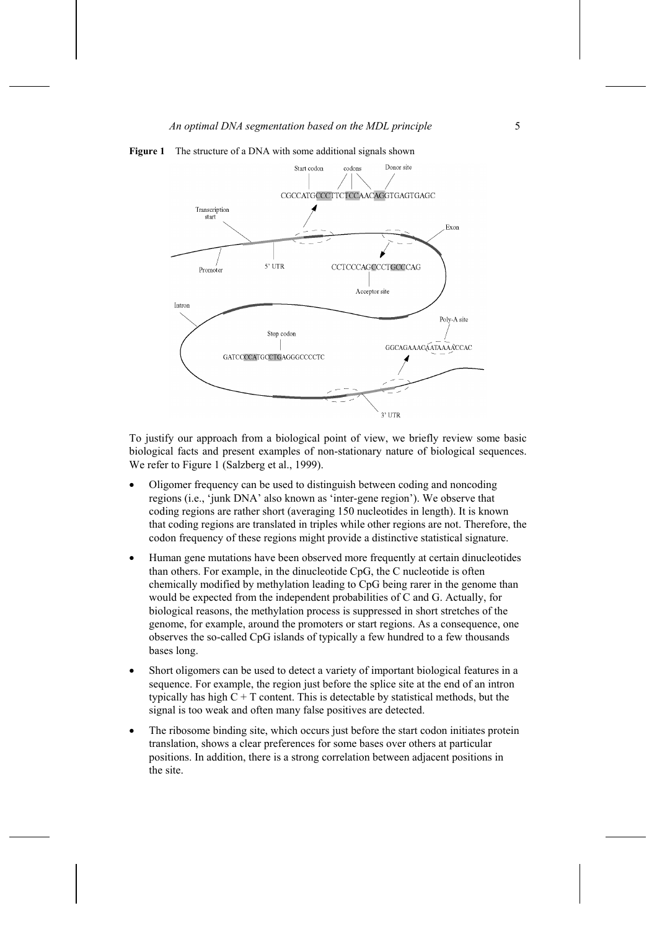

**Figure 1** The structure of a DNA with some additional signals shown

To justify our approach from a biological point of view, we briefly review some basic biological facts and present examples of non-stationary nature of biological sequences. We refer to Figure 1 (Salzberg et al., 1999).

- Oligomer frequency can be used to distinguish between coding and noncoding regions (i.e., 'junk DNA' also known as 'inter-gene region'). We observe that coding regions are rather short (averaging 150 nucleotides in length). It is known that coding regions are translated in triples while other regions are not. Therefore, the codon frequency of these regions might provide a distinctive statistical signature.
- Human gene mutations have been observed more frequently at certain dinucleotides than others. For example, in the dinucleotide CpG, the C nucleotide is often chemically modified by methylation leading to CpG being rarer in the genome than would be expected from the independent probabilities of C and G. Actually, for biological reasons, the methylation process is suppressed in short stretches of the genome, for example, around the promoters or start regions. As a consequence, one observes the so-called CpG islands of typically a few hundred to a few thousands bases long.
- Short oligomers can be used to detect a variety of important biological features in a sequence. For example, the region just before the splice site at the end of an intron typically has high  $C + T$  content. This is detectable by statistical methods, but the signal is too weak and often many false positives are detected.
- The ribosome binding site, which occurs just before the start codon initiates protein translation, shows a clear preferences for some bases over others at particular positions. In addition, there is a strong correlation between adjacent positions in the site.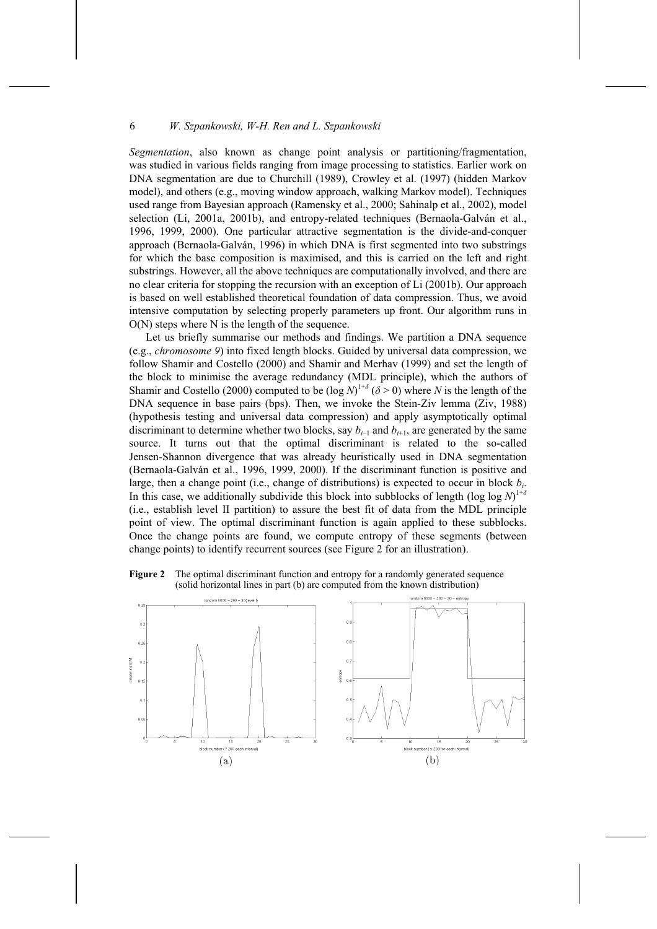*Segmentation*, also known as change point analysis or partitioning/fragmentation, was studied in various fields ranging from image processing to statistics. Earlier work on DNA segmentation are due to Churchill (1989), Crowley et al. (1997) (hidden Markov model), and others (e.g., moving window approach, walking Markov model). Techniques used range from Bayesian approach (Ramensky et al., 2000; Sahinalp et al., 2002), model selection (Li, 2001a, 2001b), and entropy-related techniques (Bernaola-Galván et al., 1996, 1999, 2000). One particular attractive segmentation is the divide-and-conquer approach (Bernaola-Galván, 1996) in which DNA is first segmented into two substrings for which the base composition is maximised, and this is carried on the left and right substrings. However, all the above techniques are computationally involved, and there are no clear criteria for stopping the recursion with an exception of Li (2001b). Our approach is based on well established theoretical foundation of data compression. Thus, we avoid intensive computation by selecting properly parameters up front. Our algorithm runs in  $O(N)$  steps where N is the length of the sequence.

Let us briefly summarise our methods and findings. We partition a DNA sequence (e.g., *chromosome 9*) into fixed length blocks. Guided by universal data compression, we follow Shamir and Costello (2000) and Shamir and Merhav (1999) and set the length of the block to minimise the average redundancy (MDL principle), which the authors of Shamir and Costello (2000) computed to be  $(\log N)^{1+\delta}$  ( $\delta > 0$ ) where *N* is the length of the DNA sequence in base pairs (bps). Then, we invoke the Stein-Ziv lemma (Ziv, 1988) (hypothesis testing and universal data compression) and apply asymptotically optimal discriminant to determine whether two blocks, say  $b_{i-1}$  and  $b_{i+1}$ , are generated by the same source. It turns out that the optimal discriminant is related to the so-called Jensen-Shannon divergence that was already heuristically used in DNA segmentation (Bernaola-Galván et al., 1996, 1999, 2000). If the discriminant function is positive and large, then a change point (i.e., change of distributions) is expected to occur in block *bi*. In this case, we additionally subdivide this block into subblocks of length (log log  $N$ )<sup>1+*δ*</sup> (i.e., establish level II partition) to assure the best fit of data from the MDL principle point of view. The optimal discriminant function is again applied to these subblocks. Once the change points are found, we compute entropy of these segments (between change points) to identify recurrent sources (see Figure 2 for an illustration).

**Figure 2** The optimal discriminant function and entropy for a randomly generated sequence (solid horizontal lines in part (b) are computed from the known distribution)

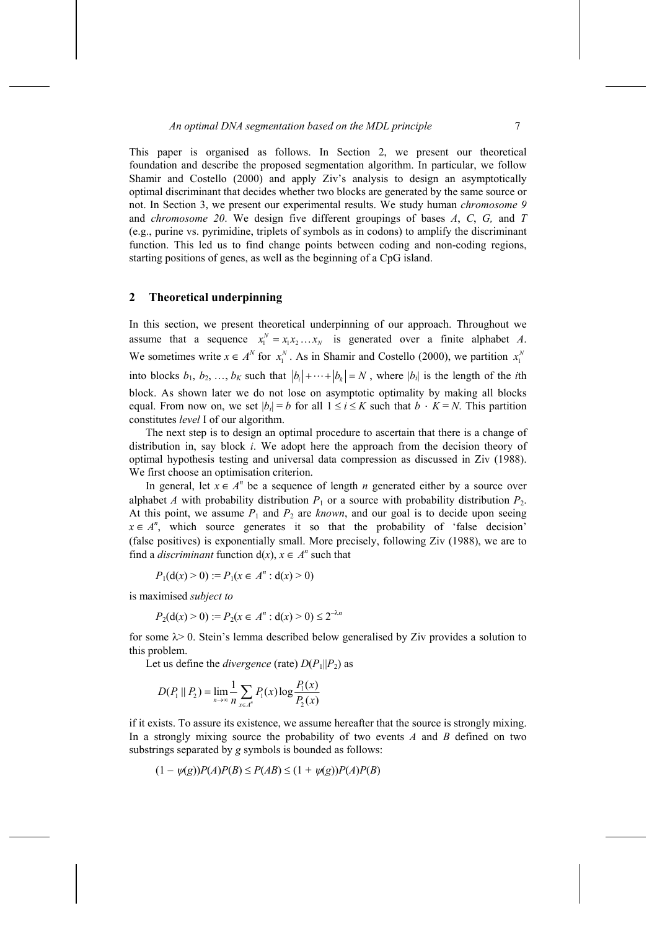This paper is organised as follows. In Section 2, we present our theoretical foundation and describe the proposed segmentation algorithm. In particular, we follow Shamir and Costello (2000) and apply Ziv's analysis to design an asymptotically optimal discriminant that decides whether two blocks are generated by the same source or not. In Section 3, we present our experimental results. We study human *chromosome 9*  and *chromosome 20*. We design five different groupings of bases *A*, *C*, *G,* and *T* (e.g., purine vs. pyrimidine, triplets of symbols as in codons) to amplify the discriminant function. This led us to find change points between coding and non-coding regions, starting positions of genes, as well as the beginning of a CpG island.

## **2 Theoretical underpinning**

In this section, we present theoretical underpinning of our approach. Throughout we assume that a sequence  $x_1^N = x_1 x_2 ... x_N$  is generated over a finite alphabet *A*. We sometimes write  $x \in A^N$  for  $x_1^N$ . As in Shamir and Costello (2000), we partition  $x_1^N$ into blocks  $b_1, b_2, ..., b_K$  such that  $|b_i| + \cdots + |b_k| = N$ , where  $|b_i|$  is the length of the *i*th block. As shown later we do not lose on asymptotic optimality by making all blocks equal. From now on, we set  $|b_i| = b$  for all  $1 \le i \le K$  such that  $b \cdot K = N$ . This partition constitutes *level* I of our algorithm.

The next step is to design an optimal procedure to ascertain that there is a change of distribution in, say block *i*. We adopt here the approach from the decision theory of optimal hypothesis testing and universal data compression as discussed in Ziv (1988). We first choose an optimisation criterion.

In general, let  $x \in A^n$  be a sequence of length *n* generated either by a source over alphabet *A* with probability distribution  $P_1$  or a source with probability distribution  $P_2$ . At this point, we assume  $P_1$  and  $P_2$  are *known*, and our goal is to decide upon seeing  $x \in A^n$ , which source generates it so that the probability of 'false decision' (false positives) is exponentially small. More precisely, following Ziv (1988), we are to find a *discriminant* function  $d(x)$ ,  $x \in A^n$  such that

$$
P_1(\mathbf{d}(x) > 0) := P_1(x \in A^n : \mathbf{d}(x) > 0)
$$

is maximised *subject to*

$$
P_2(\mathbf{d}(x) > 0) := P_2(x \in A^n : \mathbf{d}(x) > 0) \le 2^{-\lambda n}
$$

for some  $\lambda$  > 0. Stein's lemma described below generalised by Ziv provides a solution to this problem.

Let us define the *divergence* (rate)  $D(P_1||P_2)$  as

$$
D(P_1 \| P_2) = \lim_{n \to \infty} \frac{1}{n} \sum_{x \in A^n} P_1(x) \log \frac{P_1(x)}{P_2(x)}
$$

if it exists. To assure its existence, we assume hereafter that the source is strongly mixing. In a strongly mixing source the probability of two events *A* and *B* defined on two substrings separated by *g* symbols is bounded as follows:

$$
(1 - \psi(g))P(A)P(B) \le P(AB) \le (1 + \psi(g))P(A)P(B)
$$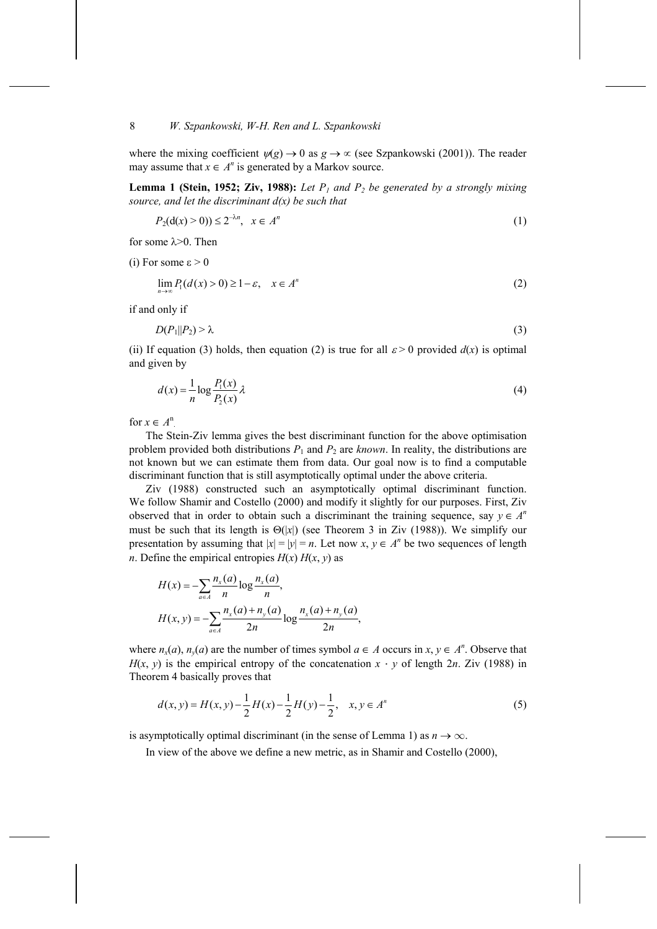where the mixing coefficient  $\psi(g) \to 0$  as  $g \to \infty$  (see Szpankowski (2001)). The reader may assume that  $x \in A^n$  is generated by a Markov source.

**Lemma 1 (Stein, 1952; Ziv, 1988):** Let  $P_1$  and  $P_2$  be generated by a strongly mixing *source, and let the discriminant d(x) be such that*

$$
P_2(\mathbf{d}(x) > 0)) \le 2^{-\lambda n}, \quad x \in A^n \tag{1}
$$

for some  $\lambda$  >0. Then

(i) For some  $\varepsilon > 0$ 

$$
\lim_{n \to \infty} P_1(d(x) > 0) \ge 1 - \varepsilon, \quad x \in A^n \tag{2}
$$

if and only if

$$
D(P_1||P_2) > \lambda \tag{3}
$$

(ii) If equation (3) holds, then equation (2) is true for all  $\varepsilon > 0$  provided  $d(x)$  is optimal and given by

$$
d(x) = \frac{1}{n} \log \frac{P_1(x)}{P_2(x)} \lambda
$$
\n(4)

for  $x \in A^n$ .

The Stein-Ziv lemma gives the best discriminant function for the above optimisation problem provided both distributions  $P_1$  and  $P_2$  are *known*. In reality, the distributions are not known but we can estimate them from data. Our goal now is to find a computable discriminant function that is still asymptotically optimal under the above criteria.

Ziv (1988) constructed such an asymptotically optimal discriminant function. We follow Shamir and Costello (2000) and modify it slightly for our purposes. First, Ziv observed that in order to obtain such a discriminant the training sequence, say  $y \in A^n$ must be such that its length is  $\Theta(x)$  (see Theorem 3 in Ziv (1988)). We simplify our presentation by assuming that  $|x| = |y| = n$ . Let now  $x, y \in A^n$  be two sequences of length *n*. Define the empirical entropies  $H(x)$   $H(x, y)$  as

$$
H(x) = -\sum_{a \in A} \frac{n_x(a)}{n} \log \frac{n_x(a)}{n},
$$
  

$$
H(x, y) = -\sum_{a \in A} \frac{n_x(a) + n_y(a)}{2n} \log \frac{n_x(a) + n_y(a)}{2n},
$$

where  $n_x(a)$ ,  $n_y(a)$  are the number of times symbol  $a \in A$  occurs in  $x, y \in A^n$ . Observe that  $H(x, y)$  is the empirical entropy of the concatenation  $x \cdot y$  of length 2*n*. Ziv (1988) in Theorem 4 basically proves that

$$
d(x, y) = H(x, y) - \frac{1}{2}H(x) - \frac{1}{2}H(y) - \frac{1}{2}, \quad x, y \in A^n
$$
 (5)

is asymptotically optimal discriminant (in the sense of Lemma 1) as  $n \to \infty$ .

In view of the above we define a new metric, as in Shamir and Costello (2000),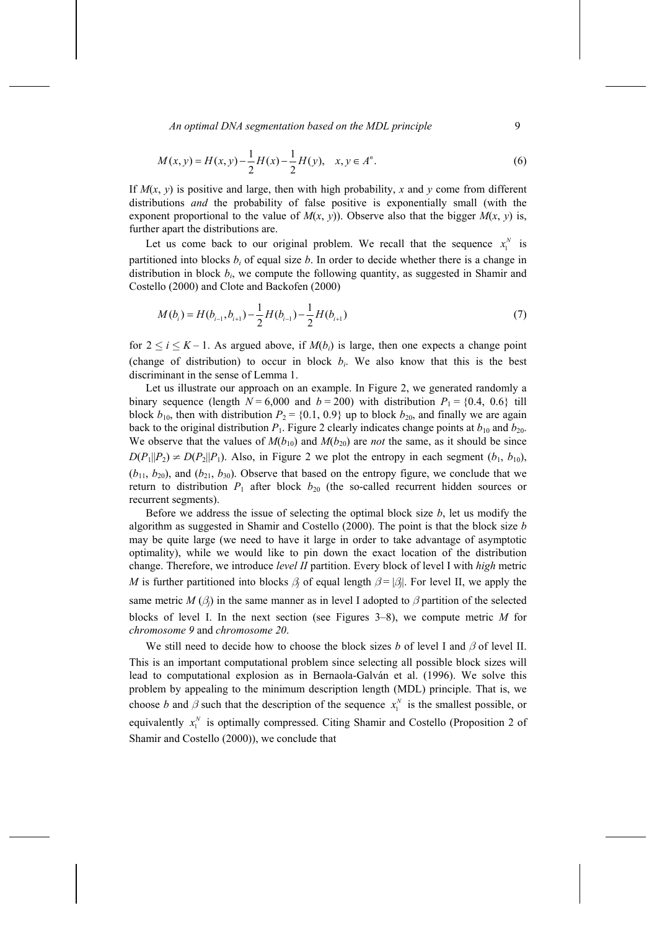An optimal DNA segmentation based on the MDL principle **9** 

$$
M(x, y) = H(x, y) - \frac{1}{2}H(x) - \frac{1}{2}H(y), \quad x, y \in A^{n}.
$$
 (6)

If  $M(x, y)$  is positive and large, then with high probability, x and y come from different distributions *and* the probability of false positive is exponentially small (with the exponent proportional to the value of  $M(x, y)$ ). Observe also that the bigger  $M(x, y)$  is, further apart the distributions are.

Let us come back to our original problem. We recall that the sequence  $x_1^N$  is partitioned into blocks  $b_i$  of equal size  $b$ . In order to decide whether there is a change in distribution in block  $b_i$ , we compute the following quantity, as suggested in Shamir and Costello (2000) and Clote and Backofen (2000)

$$
M(b_i) = H(b_{i-1}, b_{i+1}) - \frac{1}{2}H(b_{i-1}) - \frac{1}{2}H(b_{i+1})
$$
\n<sup>(7)</sup>

for  $2 \le i \le K - 1$ . As argued above, if  $M(b_i)$  is large, then one expects a change point (change of distribution) to occur in block  $b_i$ . We also know that this is the best discriminant in the sense of Lemma 1.

Let us illustrate our approach on an example. In Figure 2, we generated randomly a binary sequence (length  $N = 6,000$  and  $b = 200$ ) with distribution  $P_1 = \{0.4, 0.6\}$  till block  $b_{10}$ , then with distribution  $P_2 = \{0.1, 0.9\}$  up to block  $b_{20}$ , and finally we are again back to the original distribution  $P_1$ . Figure 2 clearly indicates change points at  $b_{10}$  and  $b_{20}$ . We observe that the values of  $M(b_{10})$  and  $M(b_{20})$  are *not* the same, as it should be since  $D(P_1||P_2) \neq D(P_2||P_1)$ . Also, in Figure 2 we plot the entropy in each segment  $(b_1, b_{10})$ ,  $(b_{11}, b_{20})$ , and  $(b_{21}, b_{30})$ . Observe that based on the entropy figure, we conclude that we return to distribution  $P_1$  after block  $b_{20}$  (the so-called recurrent hidden sources or recurrent segments).

Before we address the issue of selecting the optimal block size *b*, let us modify the algorithm as suggested in Shamir and Costello (2000). The point is that the block size *b* may be quite large (we need to have it large in order to take advantage of asymptotic optimality), while we would like to pin down the exact location of the distribution change. Therefore, we introduce *level II* partition. Every block of level I with *high* metric *M* is further partitioned into blocks  $\beta_i$  of equal length  $\beta = |\beta_i|$ . For level II, we apply the same metric *M*  $(\beta_i)$  in the same manner as in level I adopted to  $\beta$  partition of the selected

blocks of level I. In the next section (see Figures 3–8), we compute metric *M* for *chromosome 9* and *chromosome 20*.

We still need to decide how to choose the block sizes *b* of level I and  $\beta$  of level II. This is an important computational problem since selecting all possible block sizes will lead to computational explosion as in Bernaola-Galván et al. (1996). We solve this problem by appealing to the minimum description length (MDL) principle. That is, we choose *b* and  $\beta$  such that the description of the sequence  $x_1^N$  is the smallest possible, or equivalently  $x_1^N$  is optimally compressed. Citing Shamir and Costello (Proposition 2 of Shamir and Costello (2000)), we conclude that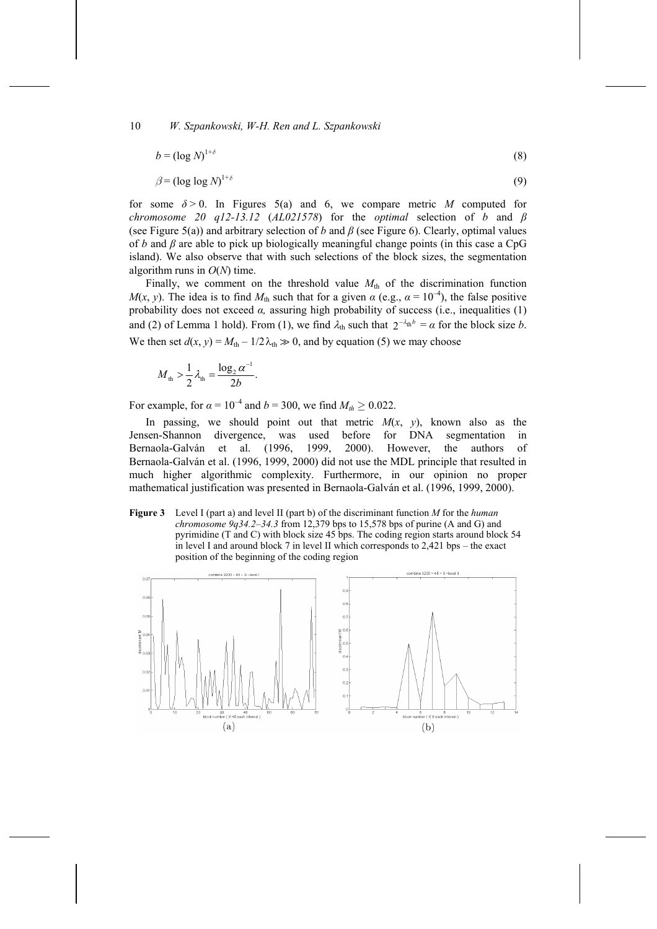$$
b = (\log N)^{1+\delta} \tag{8}
$$

$$
\beta = (\log \log N)^{1+\delta} \tag{9}
$$

for some  $\delta > 0$ . In Figures 5(a) and 6, we compare metric *M* computed for *chromosome 20 q12-13.12* (*AL021578*) for the *optimal* selection of *b* and *β* (see Figure 5(a)) and arbitrary selection of *b* and *β* (see Figure 6). Clearly, optimal values of *b* and *β* are able to pick up biologically meaningful change points (in this case a CpG island). We also observe that with such selections of the block sizes, the segmentation algorithm runs in *O*(*N*) time.

Finally, we comment on the threshold value  $M<sub>th</sub>$  of the discrimination function *M*(*x*, *y*). The idea is to find  $M_{th}$  such that for a given  $\alpha$  (e.g.,  $\alpha = 10^{-4}$ ), the false positive probability does not exceed *α,* assuring high probability of success (i.e., inequalities (1) and (2) of Lemma 1 hold). From (1), we find  $\lambda_{\text{th}}$  such that  $2^{-\lambda_{\text{th}}} = \alpha$  for the block size *b*. We then set  $d(x, y) = M_{\text{th}} - 1/2\lambda_{\text{th}} \gg 0$ , and by equation (5) we may choose

$$
M_{\rm th} > \frac{1}{2} \lambda_{\rm th} = \frac{\log_2 \alpha^{-1}}{2b}.
$$

For example, for  $\alpha = 10^{-4}$  and  $b = 300$ , we find  $M_{th} \ge 0.022$ .

In passing, we should point out that metric  $M(x, y)$ , known also as the Jensen-Shannon divergence, was used before for DNA segmentation in Bernaola-Galván et al. (1996, 1999, 2000). However, the authors of Bernaola-Galván et al. (1996, 1999, 2000) did not use the MDL principle that resulted in much higher algorithmic complexity. Furthermore, in our opinion no proper mathematical justification was presented in Bernaola-Galván et al. (1996, 1999, 2000).

**Figure 3** Level I (part a) and level II (part b) of the discriminant function *M* for the *human chromosome 9q34.2–34.3* from 12,379 bps to 15,578 bps of purine (A and G) and pyrimidine (T and C) with block size 45 bps. The coding region starts around block 54 in level I and around block 7 in level II which corresponds to 2,421 bps – the exact position of the beginning of the coding region

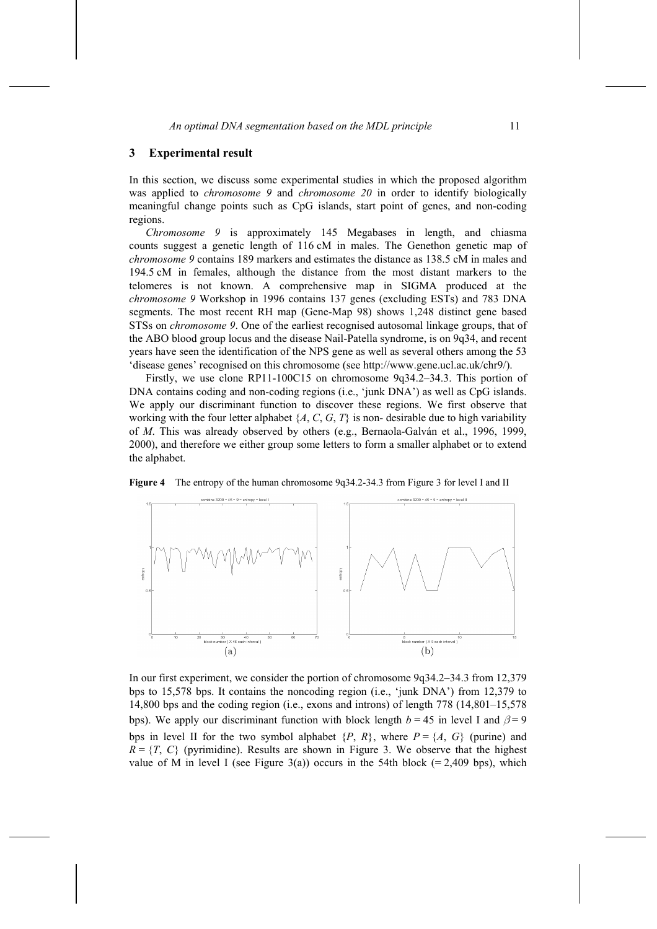#### **3 Experimental result**

In this section, we discuss some experimental studies in which the proposed algorithm was applied to *chromosome 9* and *chromosome 20* in order to identify biologically meaningful change points such as CpG islands, start point of genes, and non-coding regions.

*Chromosome 9* is approximately 145 Megabases in length, and chiasma counts suggest a genetic length of 116 cM in males. The Genethon genetic map of *chromosome 9* contains 189 markers and estimates the distance as 138.5 cM in males and 194.5 cM in females, although the distance from the most distant markers to the telomeres is not known. A comprehensive map in SIGMA produced at the *chromosome 9* Workshop in 1996 contains 137 genes (excluding ESTs) and 783 DNA segments. The most recent RH map (Gene-Map 98) shows 1,248 distinct gene based STSs on *chromosome 9*. One of the earliest recognised autosomal linkage groups, that of the ABO blood group locus and the disease Nail-Patella syndrome, is on 9q34, and recent years have seen the identification of the NPS gene as well as several others among the 53 'disease genes' recognised on this chromosome (see http://www.gene.ucl.ac.uk/chr9/).

Firstly, we use clone RP11-100C15 on chromosome 9q34.2–34.3. This portion of DNA contains coding and non-coding regions (i.e., 'junk DNA') as well as CpG islands. We apply our discriminant function to discover these regions. We first observe that working with the four letter alphabet  $\{A, C, G, T\}$  is non-desirable due to high variability of *M*. This was already observed by others (e.g., Bernaola-Galván et al., 1996, 1999, 2000), and therefore we either group some letters to form a smaller alphabet or to extend the alphabet.





In our first experiment, we consider the portion of chromosome 9q34.2–34.3 from 12,379 bps to 15,578 bps. It contains the noncoding region (i.e., 'junk DNA') from 12,379 to 14,800 bps and the coding region (i.e., exons and introns) of length 778 (14,801–15,578 bps). We apply our discriminant function with block length  $b = 45$  in level I and  $\beta = 9$ bps in level II for the two symbol alphabet  $\{P, R\}$ , where  $P = \{A, G\}$  (purine) and  $R = \{T, C\}$  (pyrimidine). Results are shown in Figure 3. We observe that the highest value of M in level I (see Figure 3(a)) occurs in the 54th block (= 2,409 bps), which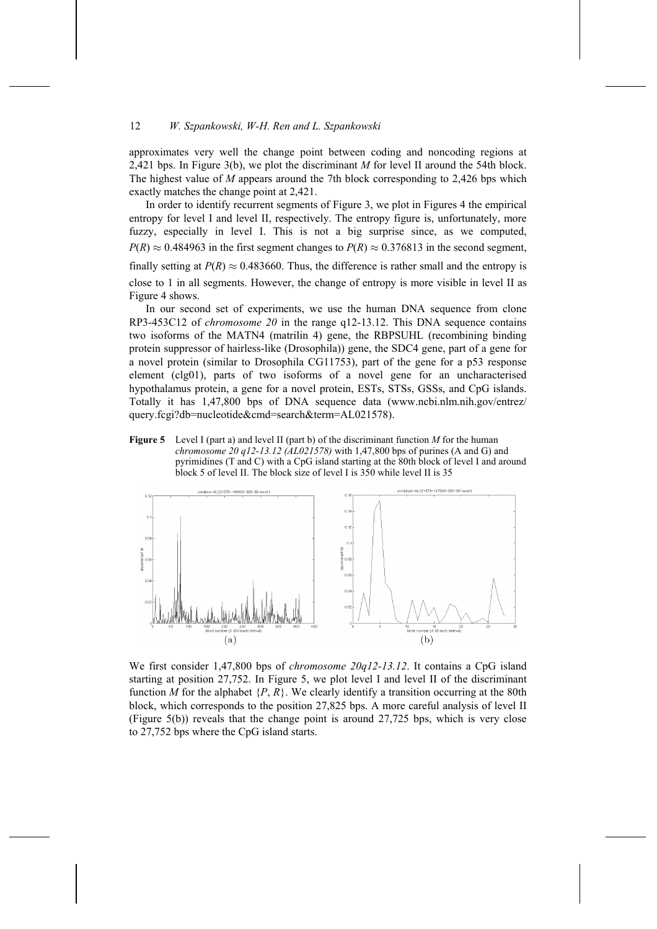approximates very well the change point between coding and noncoding regions at 2,421 bps. In Figure 3(b), we plot the discriminant *M* for level II around the 54th block. The highest value of *M* appears around the 7th block corresponding to 2,426 bps which exactly matches the change point at 2,421.

In order to identify recurrent segments of Figure 3, we plot in Figures 4 the empirical entropy for level I and level II, respectively. The entropy figure is, unfortunately, more fuzzy, especially in level I. This is not a big surprise since, as we computed,  $P(R) \approx 0.484963$  in the first segment changes to  $P(R) \approx 0.376813$  in the second segment, finally setting at  $P(R) \approx 0.483660$ . Thus, the difference is rather small and the entropy is close to 1 in all segments. However, the change of entropy is more visible in level II as Figure 4 shows.

In our second set of experiments, we use the human DNA sequence from clone RP3-453C12 of *chromosome 20* in the range q12-13.12. This DNA sequence contains two isoforms of the MATN4 (matrilin 4) gene, the RBPSUHL (recombining binding protein suppressor of hairless-like (Drosophila)) gene, the SDC4 gene, part of a gene for a novel protein (similar to Drosophila CG11753), part of the gene for a p53 response element (clg01), parts of two isoforms of a novel gene for an uncharacterised hypothalamus protein, a gene for a novel protein, ESTs, STSs, GSSs, and CpG islands. Totally it has 1,47,800 bps of DNA sequence data (www.ncbi.nlm.nih.gov/entrez/ query.fcgi?db=nucleotide&cmd=search&term=AL021578).

**Figure 5** Level I (part a) and level II (part b) of the discriminant function *M* for the human *chromosome 20 q12-13.12 (AL021578)* with 1,47,800 bps of purines (A and G) and pyrimidines (T and C) with a CpG island starting at the 80th block of level I and around block 5 of level II. The block size of level I is 350 while level II is 35



We first consider 1,47,800 bps of *chromosome 20q12-13.12*. It contains a CpG island starting at position 27,752. In Figure 5, we plot level I and level II of the discriminant function *M* for the alphabet  $\{P, R\}$ . We clearly identify a transition occurring at the 80th block, which corresponds to the position 27,825 bps. A more careful analysis of level II (Figure 5(b)) reveals that the change point is around 27,725 bps, which is very close to 27,752 bps where the CpG island starts.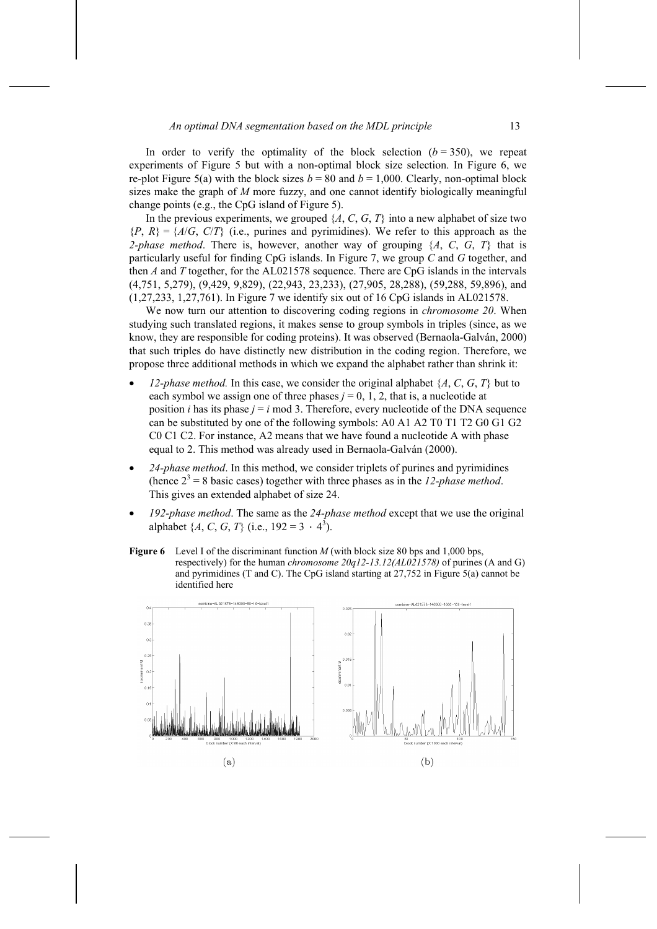In order to verify the optimality of the block selection  $(b = 350)$ , we repeat experiments of Figure 5 but with a non-optimal block size selection. In Figure 6, we re-plot Figure 5(a) with the block sizes  $b = 80$  and  $b = 1,000$ . Clearly, non-optimal block sizes make the graph of *M* more fuzzy, and one cannot identify biologically meaningful change points (e.g., the CpG island of Figure 5).

In the previous experiments, we grouped  $\{A, C, G, T\}$  into a new alphabet of size two  ${P, R} = {A/G, C/T}$  (i.e., purines and pyrimidines). We refer to this approach as the *2-phase method*. There is, however, another way of grouping {*A*, *C*, *G*, *T*} that is particularly useful for finding CpG islands. In Figure 7, we group *C* and *G* together, and then *A* and *T* together, for the AL021578 sequence. There are CpG islands in the intervals (4,751, 5,279), (9,429, 9,829), (22,943, 23,233), (27,905, 28,288), (59,288, 59,896), and (1,27,233, 1,27,761). In Figure 7 we identify six out of 16 CpG islands in AL021578.

We now turn our attention to discovering coding regions in *chromosome 20*. When studying such translated regions, it makes sense to group symbols in triples (since, as we know, they are responsible for coding proteins). It was observed (Bernaola-Galván, 2000) that such triples do have distinctly new distribution in the coding region. Therefore, we propose three additional methods in which we expand the alphabet rather than shrink it:

- *12-phase method.* In this case, we consider the original alphabet  $\{A, C, G, T\}$  but to each symbol we assign one of three phases  $j = 0, 1, 2$ , that is, a nucleotide at position *i* has its phase  $j = i$  mod 3. Therefore, every nucleotide of the DNA sequence can be substituted by one of the following symbols: A0 A1 A2 T0 T1 T2 G0 G1 G2 C0 C1 C2. For instance, A2 means that we have found a nucleotide A with phase equal to 2. This method was already used in Bernaola-Galván (2000).
- *24-phase method*. In this method, we consider triplets of purines and pyrimidines (hence  $2^3 = 8$  basic cases) together with three phases as in the *12-phase method*. This gives an extended alphabet of size 24.
- *192-phase method*. The same as the *24-phase method* except that we use the original alphabet  $\{A, C, G, T\}$  (i.e.,  $192 = 3 \cdot 4^3$ ).
- **Figure 6** Level I of the discriminant function *M* (with block size 80 bps and 1,000 bps, respectively) for the human *chromosome 20q12-13.12(AL021578)* of purines (A and G) and pyrimidines (T and C). The CpG island starting at 27,752 in Figure 5(a) cannot be identified here

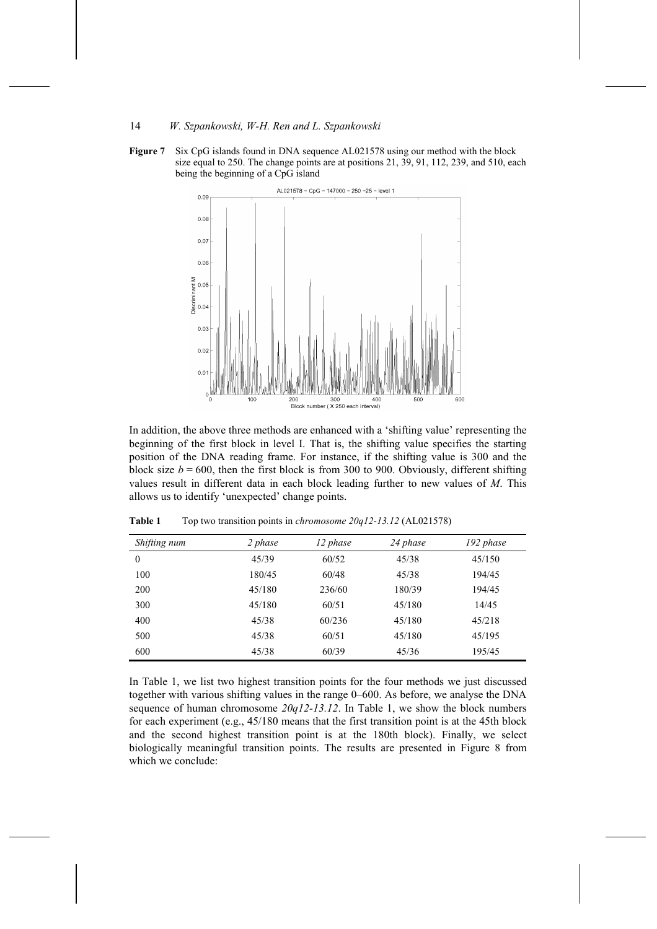



In addition, the above three methods are enhanced with a 'shifting value' representing the beginning of the first block in level I. That is, the shifting value specifies the starting position of the DNA reading frame. For instance, if the shifting value is 300 and the block size  $b = 600$ , then the first block is from 300 to 900. Obviously, different shifting values result in different data in each block leading further to new values of *M*. This allows us to identify 'unexpected' change points.

| Shifting num | 2 phase | 12 phase | 24 phase | 192 phase |
|--------------|---------|----------|----------|-----------|
| $\theta$     | 45/39   | 60/52    | 45/38    | 45/150    |
| 100          | 180/45  | 60/48    | 45/38    | 194/45    |
| 200          | 45/180  | 236/60   | 180/39   | 194/45    |
| 300          | 45/180  | 60/51    | 45/180   | 14/45     |
| 400          | 45/38   | 60/236   | 45/180   | 45/218    |
| 500          | 45/38   | 60/51    | 45/180   | 45/195    |
| 600          | 45/38   | 60/39    | 45/36    | 195/45    |

**Table 1** Top two transition points in *chromosome 20q12-13.12* (AL021578)

In Table 1, we list two highest transition points for the four methods we just discussed together with various shifting values in the range 0–600. As before, we analyse the DNA sequence of human chromosome *20q12-13.12*. In Table 1, we show the block numbers for each experiment (e.g., 45/180 means that the first transition point is at the 45th block and the second highest transition point is at the 180th block). Finally, we select biologically meaningful transition points. The results are presented in Figure 8 from which we conclude: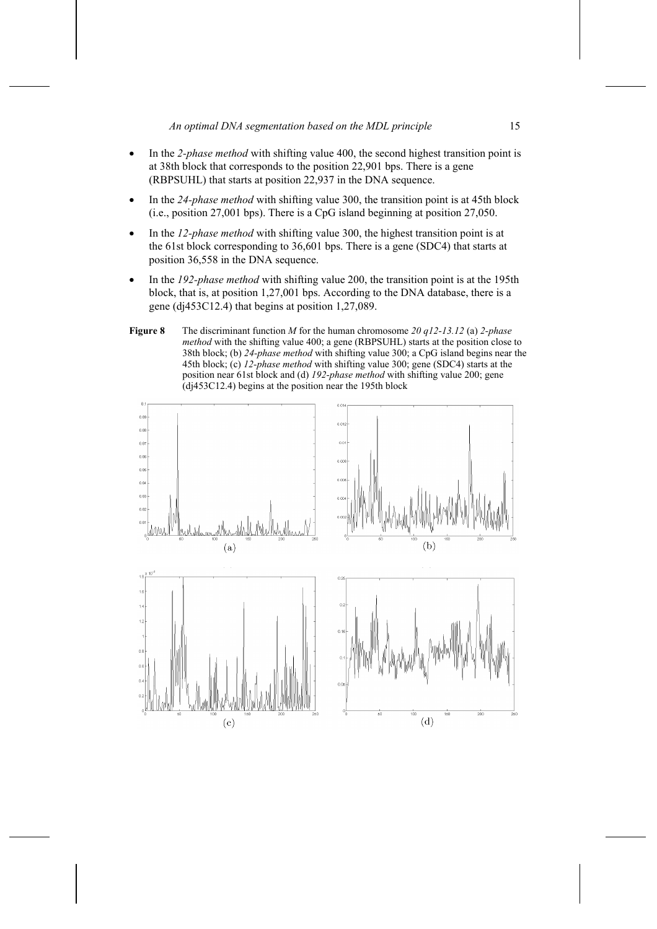- In the *2-phase method* with shifting value 400, the second highest transition point is at 38th block that corresponds to the position 22,901 bps. There is a gene (RBPSUHL) that starts at position 22,937 in the DNA sequence.
- In the *24-phase method* with shifting value 300, the transition point is at 45th block (i.e., position 27,001 bps). There is a CpG island beginning at position 27,050.
- In the *12-phase method* with shifting value 300, the highest transition point is at the 61st block corresponding to 36,601 bps. There is a gene (SDC4) that starts at position 36,558 in the DNA sequence.
- In the *192-phase method* with shifting value 200, the transition point is at the 195th block, that is, at position 1,27,001 bps. According to the DNA database, there is a gene (dj453C12.4) that begins at position 1,27,089.
- **Figure 8** The discriminant function *M* for the human chromosome *20 q12-13.12* (a) *2-phase method* with the shifting value 400; a gene (RBPSUHL) starts at the position close to 38th block; (b) *24-phase method* with shifting value 300; a CpG island begins near the 45th block; (c) *12-phase method* with shifting value 300; gene (SDC4) starts at the position near 61st block and (d) *192-phase method* with shifting value 200; gene (dj453C12.4) begins at the position near the 195th block

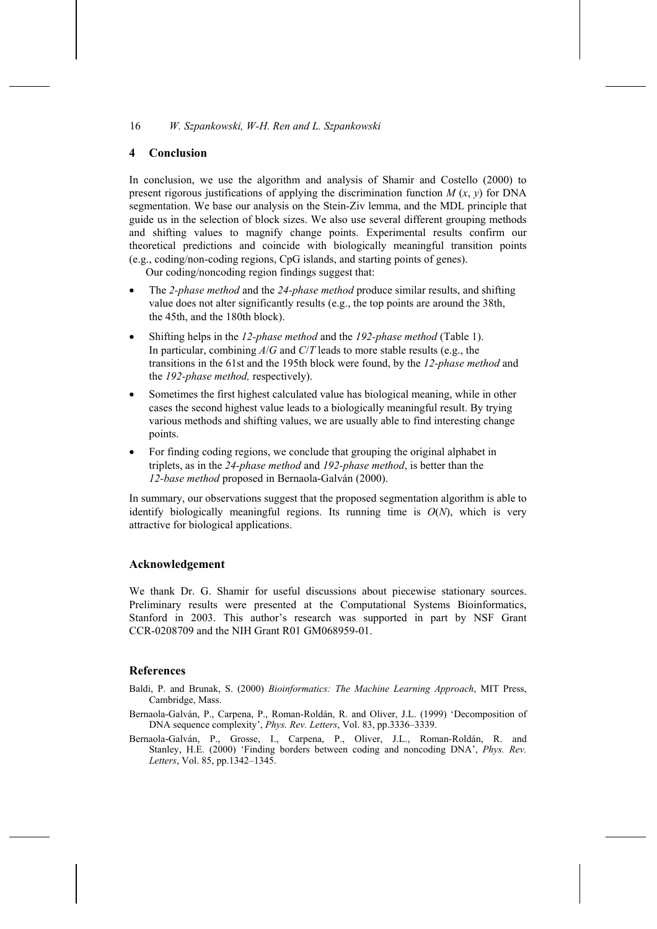### **4 Conclusion**

In conclusion, we use the algorithm and analysis of Shamir and Costello (2000) to present rigorous justifications of applying the discrimination function *M* (*x*, *y*) for DNA segmentation. We base our analysis on the Stein-Ziv lemma, and the MDL principle that guide us in the selection of block sizes. We also use several different grouping methods and shifting values to magnify change points. Experimental results confirm our theoretical predictions and coincide with biologically meaningful transition points (e.g., coding/non-coding regions, CpG islands, and starting points of genes).

Our coding/noncoding region findings suggest that:

- The *2-phase method* and the *24-phase method* produce similar results, and shifting value does not alter significantly results (e.g., the top points are around the 38th, the 45th, and the 180th block).
- Shifting helps in the *12-phase method* and the *192-phase method* (Table 1). In particular, combining *A*/*G* and *C*/*T* leads to more stable results (e.g., the transitions in the 61st and the 195th block were found, by the *12-phase method* and the *192-phase method,* respectively).
- Sometimes the first highest calculated value has biological meaning, while in other cases the second highest value leads to a biologically meaningful result. By trying various methods and shifting values, we are usually able to find interesting change points.
- For finding coding regions, we conclude that grouping the original alphabet in triplets, as in the *24-phase method* and *192-phase method*, is better than the *12-base method* proposed in Bernaola-Galván (2000).

In summary, our observations suggest that the proposed segmentation algorithm is able to identify biologically meaningful regions. Its running time is  $O(N)$ , which is very attractive for biological applications.

## **Acknowledgement**

We thank Dr. G. Shamir for useful discussions about piecewise stationary sources. Preliminary results were presented at the Computational Systems Bioinformatics, Stanford in 2003. This author's research was supported in part by NSF Grant CCR-0208709 and the NIH Grant R01 GM068959-01.

#### **References**

- Baldi, P. and Brunak, S. (2000) *Bioinformatics: The Machine Learning Approach*, MIT Press, Cambridge, Mass.
- Bernaola-Galván, P., Carpena, P., Roman-Roldán, R. and Oliver, J.L. (1999) 'Decomposition of DNA sequence complexity', *Phys. Rev. Letters*, Vol. 83, pp.3336–3339.
- Bernaola-Galván, P., Grosse, I., Carpena, P., Oliver, J.L., Roman-Roldán, R. and Stanley, H.E. (2000) 'Finding borders between coding and noncoding DNA', *Phys. Rev. Letters*, Vol. 85, pp.1342–1345.